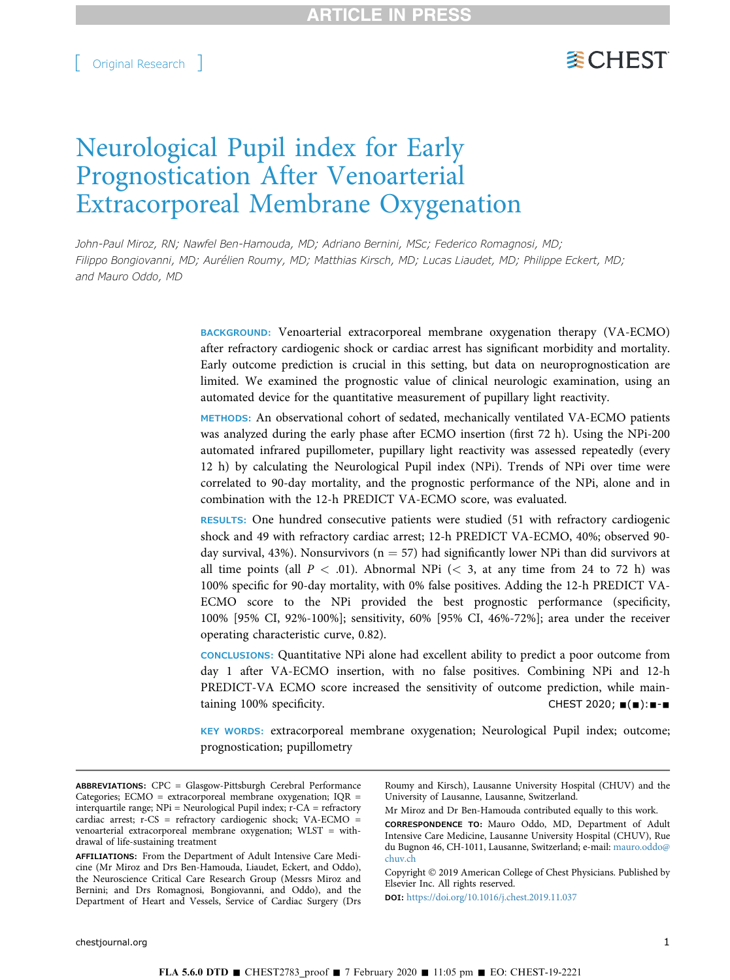# **WCHEST**

# Neurological Pupil index for Early Prognostication After Venoarterial Extracorporeal Membrane Oxygenation

John-Paul Miroz, RN; Nawfel Ben-Hamouda, MD; Adriano Bernini, MSc; Federico Romagnosi, MD; Filippo Bongiovanni, MD; Aurélien Roumy, MD; Matthias Kirsch, MD; Lucas Liaudet, MD; Philippe Eckert, MD; and Mauro Oddo, MD

> BACKGROUND: Venoarterial extracorporeal membrane oxygenation therapy (VA-ECMO) after refractory cardiogenic shock or cardiac arrest has significant morbidity and mortality. Early outcome prediction is crucial in this setting, but data on neuroprognostication are limited. We examined the prognostic value of clinical neurologic examination, using an automated device for the quantitative measurement of pupillary light reactivity.

> METHODS: An observational cohort of sedated, mechanically ventilated VA-ECMO patients was analyzed during the early phase after ECMO insertion (first 72 h). Using the NPi-200 automated infrared pupillometer, pupillary light reactivity was assessed repeatedly (every 12 h) by calculating the Neurological Pupil index (NPi). Trends of NPi over time were correlated to 90-day mortality, and the prognostic performance of the NPi, alone and in combination with the 12-h PREDICT VA-ECMO score, was evaluated.

> RESULTS: One hundred consecutive patients were studied (51 with refractory cardiogenic shock and 49 with refractory cardiac arrest; 12-h PREDICT VA-ECMO, 40%; observed 90 day survival, 43%). Nonsurvivors ( $n = 57$ ) had significantly lower NPi than did survivors at all time points (all  $P < .01$ ). Abnormal NPi ( $< 3$ , at any time from 24 to 72 h) was 100% specific for 90-day mortality, with 0% false positives. Adding the 12-h PREDICT VA-ECMO score to the NPi provided the best prognostic performance (specificity, 100% [95% CI, 92%-100%]; sensitivity, 60% [95% CI, 46%-72%]; area under the receiver operating characteristic curve, 0.82).

> CONCLUSIONS: Quantitative NPi alone had excellent ability to predict a poor outcome from day 1 after VA-ECMO insertion, with no false positives. Combining NPi and 12-h PREDICT-VA ECMO score increased the sensitivity of outcome prediction, while maintaining 100% specificity.  $CHEST 2020; \blacksquare(=): \blacksquare \blacksquare$

> KEY WORDS: extracorporeal membrane oxygenation; Neurological Pupil index; outcome; prognostication; pupillometry

Roumy and Kirsch), Lausanne University Hospital (CHUV) and the University of Lausanne, Lausanne, Switzerland.

Mr Miroz and Dr Ben-Hamouda contributed equally to this work.

CORRESPONDENCE TO: Mauro Oddo, MD, Department of Adult Intensive Care Medicine, Lausanne University Hospital (CHUV), Rue du Bugnon 46, CH-1011, Lausanne, Switzerland; e-mail: [mauro.oddo@](mailto:mauro.oddo@chuv.ch) [chuv.ch](mailto:mauro.oddo@chuv.ch)

Copyright © 2019 American College of Chest Physicians. Published by Elsevier Inc. All rights reserved.

DOI: <https://doi.org/10.1016/j.chest.2019.11.037>

ABBREVIATIONS: CPC = Glasgow-Pittsburgh Cerebral Performance Categories; ECMO = extracorporeal membrane oxygenation; IQR = interquartile range; NPi = Neurological Pupil index; r-CA = refractory cardiac arrest; r-CS = refractory cardiogenic shock; VA-ECMO = venoarterial extracorporeal membrane oxygenation; WLST = withdrawal of life-sustaining treatment

AFFILIATIONS: From the Department of Adult Intensive Care Medicine (Mr Miroz and Drs Ben-Hamouda, Liaudet, Eckert, and Oddo), the Neuroscience Critical Care Research Group (Messrs Miroz and Bernini; and Drs Romagnosi, Bongiovanni, and Oddo), and the Department of Heart and Vessels, Service of Cardiac Surgery (Drs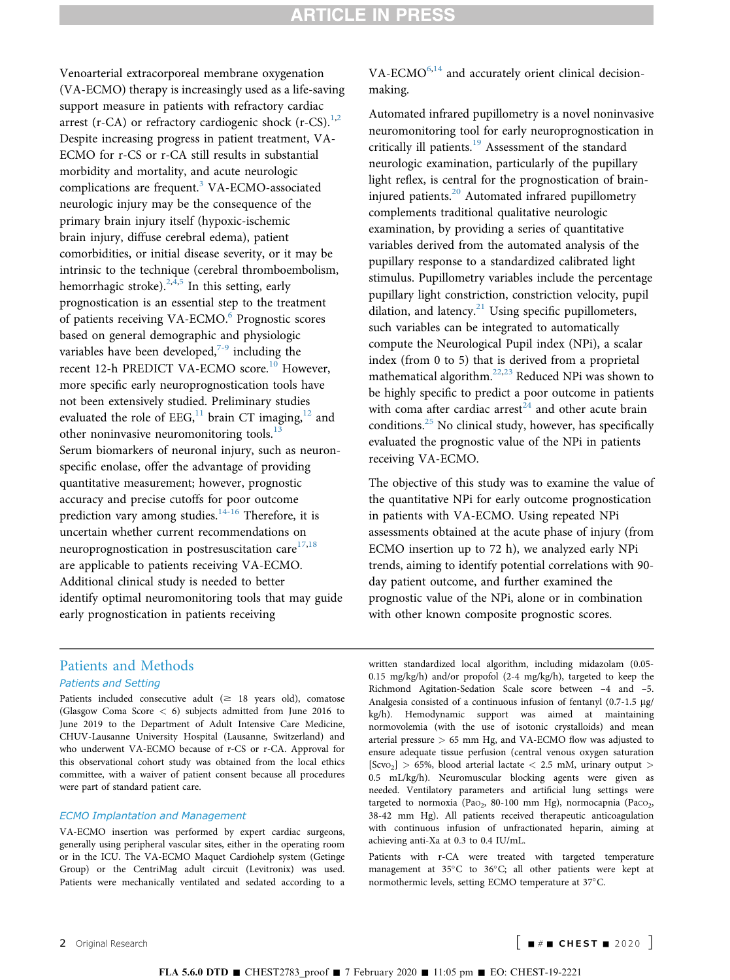Venoarterial extracorporeal membrane oxygenation (VA-ECMO) therapy is increasingly used as a life-saving support measure in patients with refractory cardiac arrest (r-CA) or refractory cardiogenic shock (r-CS). $^{1,2}$  $^{1,2}$  $^{1,2}$  $^{1,2}$  $^{1,2}$ Despite increasing progress in patient treatment, VA-ECMO for r-CS or r-CA still results in substantial morbidity and mortality, and acute neurologic complications are frequent.[3](#page-6-0) VA-ECMO-associated neurologic injury may be the consequence of the primary brain injury itself (hypoxic-ischemic brain injury, diffuse cerebral edema), patient comorbidities, or initial disease severity, or it may be intrinsic to the technique (cerebral thromboembolism, hemorrhagic stroke). $2,4,5}$  $2,4,5}$  In this setting, early prognostication is an essential step to the treatment of patients receiving VA-ECMO.<sup>[6](#page-6-0)</sup> Prognostic scores based on general demographic and physiologic variables have been developed, $7-9$  including the recent 12-h PREDICT VA-ECMO score.<sup>[10](#page-6-0)</sup> However, more specific early neuroprognostication tools have not been extensively studied. Preliminary studies evaluated the role of EEG, $^{11}$  $^{11}$  $^{11}$  brain CT imaging, $^{12}$  $^{12}$  $^{12}$  and other noninvasive neuromonitoring tools.<sup>[13](#page-7-0)</sup> Serum biomarkers of neuronal injury, such as neuronspecific enolase, offer the advantage of providing quantitative measurement; however, prognostic accuracy and precise cutoffs for poor outcome prediction vary among studies.<sup>[14-16](#page-7-0)</sup> Therefore, it is uncertain whether current recommendations on neuroprognostication in postresuscitation care $17,18$ are applicable to patients receiving VA-ECMO. Additional clinical study is needed to better identify optimal neuromonitoring tools that may guide early prognostication in patients receiving

## $VA-ECMO<sup>6,14</sup>$  $VA-ECMO<sup>6,14</sup>$  $VA-ECMO<sup>6,14</sup>$  $VA-ECMO<sup>6,14</sup>$  and accurately orient clinical decisionmaking.

Automated infrared pupillometry is a novel noninvasive neuromonitoring tool for early neuroprognostication in critically ill patients.<sup>[19](#page-7-0)</sup> Assessment of the standard neurologic examination, particularly of the pupillary light reflex, is central for the prognostication of brain-injured patients.<sup>[20](#page-7-0)</sup> Automated infrared pupillometry complements traditional qualitative neurologic examination, by providing a series of quantitative variables derived from the automated analysis of the pupillary response to a standardized calibrated light stimulus. Pupillometry variables include the percentage pupillary light constriction, constriction velocity, pupil dilation, and latency. $21$  Using specific pupillometers, such variables can be integrated to automatically compute the Neurological Pupil index (NPi), a scalar index (from 0 to 5) that is derived from a proprietal mathematical algorithm.<sup>[22](#page-7-0),[23](#page-7-0)</sup> Reduced NPi was shown to be highly specific to predict a poor outcome in patients with coma after cardiac arrest<sup>[24](#page-7-0)</sup> and other acute brain conditions. $25$  No clinical study, however, has specifically evaluated the prognostic value of the NPi in patients receiving VA-ECMO.

The objective of this study was to examine the value of the quantitative NPi for early outcome prognostication in patients with VA-ECMO. Using repeated NPi assessments obtained at the acute phase of injury (from ECMO insertion up to 72 h), we analyzed early NPi trends, aiming to identify potential correlations with 90 day patient outcome, and further examined the prognostic value of the NPi, alone or in combination with other known composite prognostic scores.

## Patients and Methods Patients and Setting

Patients included consecutive adult ( $\geq$  18 years old), comatose (Glasgow Coma Score < 6) subjects admitted from June 2016 to June 2019 to the Department of Adult Intensive Care Medicine, CHUV-Lausanne University Hospital (Lausanne, Switzerland) and who underwent VA-ECMO because of r-CS or r-CA. Approval for this observational cohort study was obtained from the local ethics committee, with a waiver of patient consent because all procedures were part of standard patient care.

#### ECMO Implantation and Management

VA-ECMO insertion was performed by expert cardiac surgeons, generally using peripheral vascular sites, either in the operating room or in the ICU. The VA-ECMO Maquet Cardiohelp system (Getinge Group) or the CentriMag adult circuit (Levitronix) was used. Patients were mechanically ventilated and sedated according to a

written standardized local algorithm, including midazolam (0.05- 0.15 mg/kg/h) and/or propofol (2-4 mg/kg/h), targeted to keep the Richmond Agitation-Sedation Scale score between –4 and –5. Analgesia consisted of a continuous infusion of fentanyl  $(0.7-1.5 \text{ µg})$ kg/h). Hemodynamic support was aimed at maintaining normovolemia (with the use of isotonic crystalloids) and mean arterial pressure > 65 mm Hg, and VA-ECMO flow was adjusted to ensure adequate tissue perfusion (central venous oxygen saturation  $[Scvo<sub>2</sub>] > 65%$ , blood arterial lactate  $< 2.5$  mM, urinary output  $>$ 0.5 mL/kg/h). Neuromuscular blocking agents were given as needed. Ventilatory parameters and artificial lung settings were targeted to normoxia (Pa $o_2$ , 80-100 mm Hg), normocapnia (Pa $co_2$ , 38-42 mm Hg). All patients received therapeutic anticoagulation with continuous infusion of unfractionated heparin, aiming at achieving anti-Xa at 0.3 to 0.4 IU/mL.

Patients with r-CA were treated with targeted temperature management at 35°C to 36°C; all other patients were kept at normothermic levels, setting ECMO temperature at 37°C.

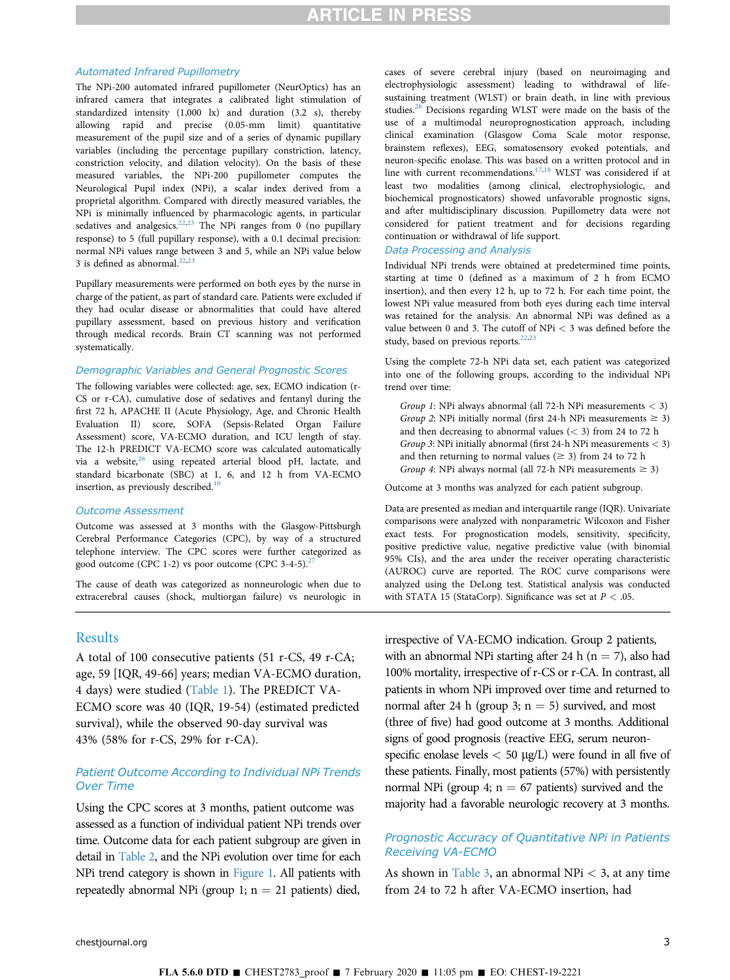#### Automated Infrared Pupillometry

The NPi-200 automated infrared pupillometer (NeurOptics) has an infrared camera that integrates a calibrated light stimulation of standardized intensity (1,000 lx) and duration (3.2 s), thereby allowing rapid and precise (0.05-mm limit) quantitative measurement of the pupil size and of a series of dynamic pupillary variables (including the percentage pupillary constriction, latency, constriction velocity, and dilation velocity). On the basis of these measured variables, the NPi-200 pupillometer computes the Neurological Pupil index (NPi), a scalar index derived from a proprietal algorithm. Compared with directly measured variables, the NPi is minimally influenced by pharmacologic agents, in particular sedatives and analgesics.<sup>[22](#page-7-0),[23](#page-7-0)</sup> The NPi ranges from 0 (no pupillary response) to 5 (full pupillary response), with a 0.1 decimal precision: normal NPi values range between 3 and 5, while an NPi value below 3 is defined as abnormal. $22,23$ 

Pupillary measurements were performed on both eyes by the nurse in charge of the patient, as part of standard care. Patients were excluded if they had ocular disease or abnormalities that could have altered pupillary assessment, based on previous history and verification through medical records. Brain CT scanning was not performed systematically.

#### Demographic Variables and General Prognostic Scores

The following variables were collected: age, sex, ECMO indication (r-CS or r-CA), cumulative dose of sedatives and fentanyl during the first 72 h, APACHE II (Acute Physiology, Age, and Chronic Health Evaluation II) score, SOFA (Sepsis-Related Organ Failure Assessment) score, VA-ECMO duration, and ICU length of stay. The 12-h PREDICT VA-ECMO score was calculated automatically via a website,<sup>[26](#page-7-0)</sup> using repeated arterial blood pH, lactate, and standard bicarbonate (SBC) at 1, 6, and 12 h from VA-ECMO insertion, as previously described. $10$ 

#### Outcome Assessment

Outcome was assessed at 3 months with the Glasgow-Pittsburgh Cerebral Performance Categories (CPC), by way of a structured telephone interview. The CPC scores were further categorized as good outcome (CPC 1-2) vs poor outcome (CPC 3-4-5).<sup>27</sup>

The cause of death was categorized as nonneurologic when due to extracerebral causes (shock, multiorgan failure) vs neurologic in

## **Results**

A total of 100 consecutive patients (51 r-CS, 49 r-CA; age, 59 [IQR, 49-66] years; median VA-ECMO duration, 4 days) were studied [\(Table 1](#page-3-0)). The PREDICT VA-ECMO score was 40 (IQR, 19-54) (estimated predicted survival), while the observed 90-day survival was 43% (58% for r-CS, 29% for r-CA).

## Patient Outcome According to Individual NPi Trends Over Time

Using the CPC scores at 3 months, patient outcome was assessed as a function of individual patient NPi trends over time. Outcome data for each patient subgroup are given in detail in [Table 2,](#page-3-0) and the NPi evolution over time for each NPi trend category is shown in [Figure 1.](#page-4-0) All patients with repeatedly abnormal NPi (group 1;  $n = 21$  patients) died,

cases of severe cerebral injury (based on neuroimaging and electrophysiologic assessment) leading to withdrawal of lifesustaining treatment (WLST) or brain death, in line with previous studies[.28](#page-7-0) Decisions regarding WLST were made on the basis of the use of a multimodal neuroprognostication approach, including clinical examination (Glasgow Coma Scale motor response, brainstem reflexes), EEG, somatosensory evoked potentials, and neuron-specific enolase. This was based on a written protocol and in line with current recommendations.<sup>17,18</sup> WLST was considered if at least two modalities (among clinical, electrophysiologic, and biochemical prognosticators) showed unfavorable prognostic signs, and after multidisciplinary discussion. Pupillometry data were not considered for patient treatment and for decisions regarding continuation or withdrawal of life support.

#### Data Processing and Analysis

Individual NPi trends were obtained at predetermined time points, starting at time 0 (defined as a maximum of 2 h from ECMO insertion), and then every 12 h, up to 72 h. For each time point, the lowest NPi value measured from both eyes during each time interval was retained for the analysis. An abnormal NPi was defined as a value between 0 and 3. The cutoff of NPi < 3 was defined before the study, based on previous reports.<sup>[22](#page-7-0),[23](#page-7-0)</sup>

Using the complete 72-h NPi data set, each patient was categorized into one of the following groups, according to the individual NPi trend over time:

Group 1: NPi always abnormal (all 72-h NPi measurements < 3) Group 2: NPi initially normal (first 24-h NPi measurements  $\geq$  3) and then decreasing to abnormal values  $( $3$ ) from 24 to 72 h$ Group 3: NPi initially abnormal (first 24-h NPi measurements  $<$  3) and then returning to normal values ( $\geq$  3) from 24 to 72 h Group 4: NPi always normal (all 72-h NPi measurements  $\geq$  3)

Outcome at 3 months was analyzed for each patient subgroup.

Data are presented as median and interquartile range (IQR). Univariate comparisons were analyzed with nonparametric Wilcoxon and Fisher exact tests. For prognostication models, sensitivity, specificity, positive predictive value, negative predictive value (with binomial 95% CIs), and the area under the receiver operating characteristic (AUROC) curve are reported. The ROC curve comparisons were analyzed using the DeLong test. Statistical analysis was conducted with STATA 15 (StataCorp). Significance was set at  $P < .05$ .

irrespective of VA-ECMO indication. Group 2 patients, with an abnormal NPi starting after 24 h ( $n = 7$ ), also had 100% mortality, irrespective of r-CS or r-CA. In contrast, all patients in whom NPi improved over time and returned to normal after 24 h (group 3;  $n = 5$ ) survived, and most (three of five) had good outcome at 3 months. Additional signs of good prognosis (reactive EEG, serum neuronspecific enolase levels  $<$  50  $\mu$ g/L) were found in all five of these patients. Finally, most patients (57%) with persistently normal NPi (group 4;  $n = 67$  patients) survived and the majority had a favorable neurologic recovery at 3 months.

## Prognostic Accuracy of Quantitative NPi in Patients Receiving VA-ECMO

As shown in [Table 3,](#page-4-0) an abnormal NPi  $<$  3, at any time from 24 to 72 h after VA-ECMO insertion, had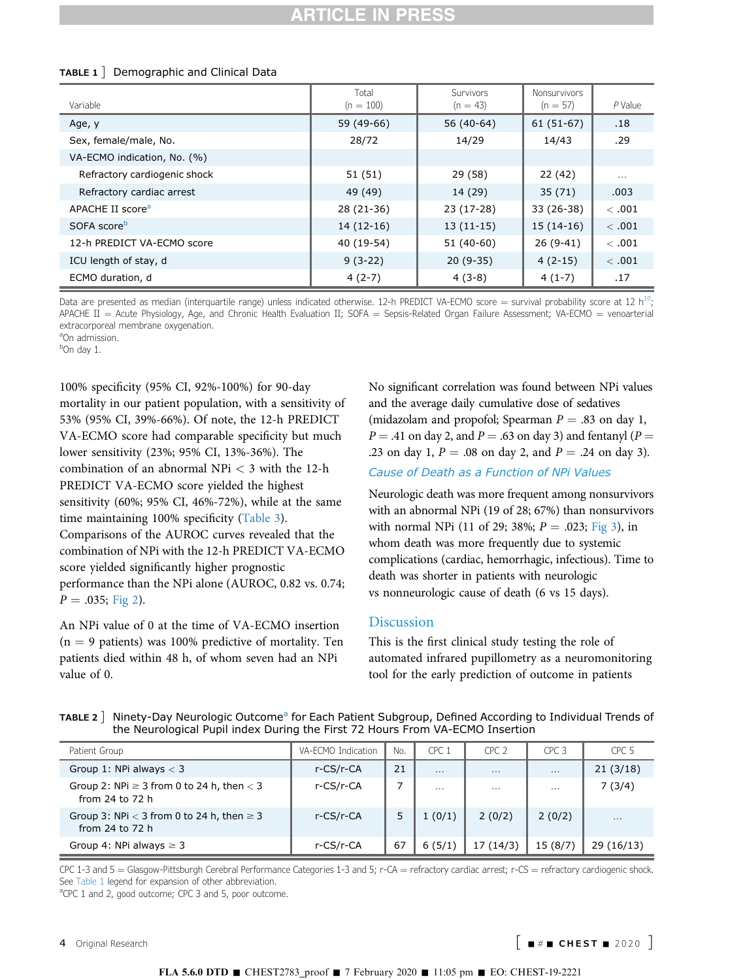<span id="page-3-0"></span>

| TABLE $1$ Demographic and Clinical Data |  |
|-----------------------------------------|--|
|                                         |  |

| Variable                     | Total<br>$(n = 100)$ | Survivors<br>$(n = 43)$ | <b>Nonsurvivors</b><br>$(n = 57)$ | P Value  |
|------------------------------|----------------------|-------------------------|-----------------------------------|----------|
| Age, y                       | 59 (49-66)           | 56 (40-64)              | 61 (51-67)                        | .18      |
| Sex, female/male, No.        | 28/72                | 14/29                   | 14/43                             | .29      |
| VA-ECMO indication, No. (%)  |                      |                         |                                   |          |
| Refractory cardiogenic shock | 51 (51)              | 29 (58)                 | 22 (42)                           | $\cdots$ |
| Refractory cardiac arrest    | 49 (49)              | 14 (29)                 | 35(71)                            | .003     |
| APACHE II score <sup>a</sup> | 28 (21-36)           | 23 (17-28)              | 33 (26-38)                        | <.001    |
| SOFA score <sup>b</sup>      | $14(12-16)$          | $13(11-15)$             | $15(14-16)$                       | <.001    |
| 12-h PREDICT VA-ECMO score   | 40 (19-54)           | 51 (40-60)              | $26(9-41)$                        | <.001    |
| ICU length of stay, d        | $9(3-22)$            | $20(9-35)$              | $4(2-15)$                         | <.001    |
| ECMO duration, d             | $4(2-7)$             | $4(3-8)$                | $4(1-7)$                          | .17      |

Data are presented as median (interquartile range) unless indicated otherwise. 12-h PREDICT VA-ECMO score = survival probability score at 12 h<sup>10</sup>; APACHE II = Acute Physiology, Age, and Chronic Health Evaluation II; SOFA = Sepsis-Related Organ Failure Assessment; VA-ECMO = venoarterial extracorporeal membrane oxygenation.

<sup>a</sup>On admission.

<sup>b</sup>On day 1.

100% specificity (95% CI, 92%-100%) for 90-day mortality in our patient population, with a sensitivity of 53% (95% CI, 39%-66%). Of note, the 12-h PREDICT VA-ECMO score had comparable specificity but much lower sensitivity (23%; 95% CI, 13%-36%). The combination of an abnormal NPi < 3 with the 12-h PREDICT VA-ECMO score yielded the highest sensitivity (60%; 95% CI, 46%-72%), while at the same time maintaining 100% specificity [\(Table 3](#page-4-0)). Comparisons of the AUROC curves revealed that the combination of NPi with the 12-h PREDICT VA-ECMO score yielded significantly higher prognostic performance than the NPi alone (AUROC, 0.82 vs. 0.74;  $P = .035;$  [Fig 2](#page-5-0)).

An NPi value of 0 at the time of VA-ECMO insertion  $(n = 9 \text{ patients})$  was 100% predictive of mortality. Ten patients died within 48 h, of whom seven had an NPi value of 0.

No significant correlation was found between NPi values and the average daily cumulative dose of sedatives (midazolam and propofol; Spearman  $P = .83$  on day 1,  $P = .41$  on day 2, and  $P = .63$  on day 3) and fentanyl ( $P =$ .23 on day 1,  $P = .08$  on day 2, and  $P = .24$  on day 3).

## Cause of Death as a Function of NPi Values

Neurologic death was more frequent among nonsurvivors with an abnormal NPi (19 of 28; 67%) than nonsurvivors with normal NPi (11 of 29; 38%;  $P = .023$ ; [Fig 3\)](#page-5-0), in whom death was more frequently due to systemic complications (cardiac, hemorrhagic, infectious). Time to death was shorter in patients with neurologic vs nonneurologic cause of death (6 vs 15 days).

## **Discussion**

This is the first clinical study testing the role of automated infrared pupillometry as a neuromonitoring tool for the early prediction of outcome in patients

| Patient Group                                                       | VA-FCMO Indication | No. | CPC <sub>1</sub> | CPC <sub>2</sub> | CPC.3    | CPC <sub>5</sub> |
|---------------------------------------------------------------------|--------------------|-----|------------------|------------------|----------|------------------|
| Group 1: NPi always $<$ 3                                           | r-CS/r-CA          | 21  | $\cdots$         | $\cdots$         | $\cdots$ | 21(3/18)         |
| Group 2: NPi $\geq$ 3 from 0 to 24 h, then $<$ 3<br>from 24 to 72 h | r-CS/r-CA          |     | $\cdots$         | $\cdots$         | $\cdots$ | 7(3/4)           |
| Group 3: NPi $<$ 3 from 0 to 24 h, then $\geq$ 3<br>from 24 to 72 h | r-CS/r-CA          |     | 1(0/1)           | 2(0/2)           | 2(0/2)   | $\cdots$         |
| Group 4: NPi always $\geq 3$                                        | r-CS/r-CA          | 67  | 6(5/1)           | 17(14/3)         | 15(8/7)  | 29(16/13)        |

TABLE 2 | Ninety-Day Neurologic Outcome<sup>a</sup> for Each Patient Subgroup, Defined According to Individual Trends of the Neurological Pupil index During the First 72 Hours From VA-ECMO Insertion

CPC 1-3 and 5 = Glasgow-Pittsburgh Cerebral Performance Categories 1-3 and 5; r-CA = refractory cardiac arrest; r-CS = refractory cardiogenic shock. See Table 1 legend for expansion of other abbreviation.

<sup>a</sup>CPC 1 and 2, good outcome; CPC 3 and 5, poor outcome.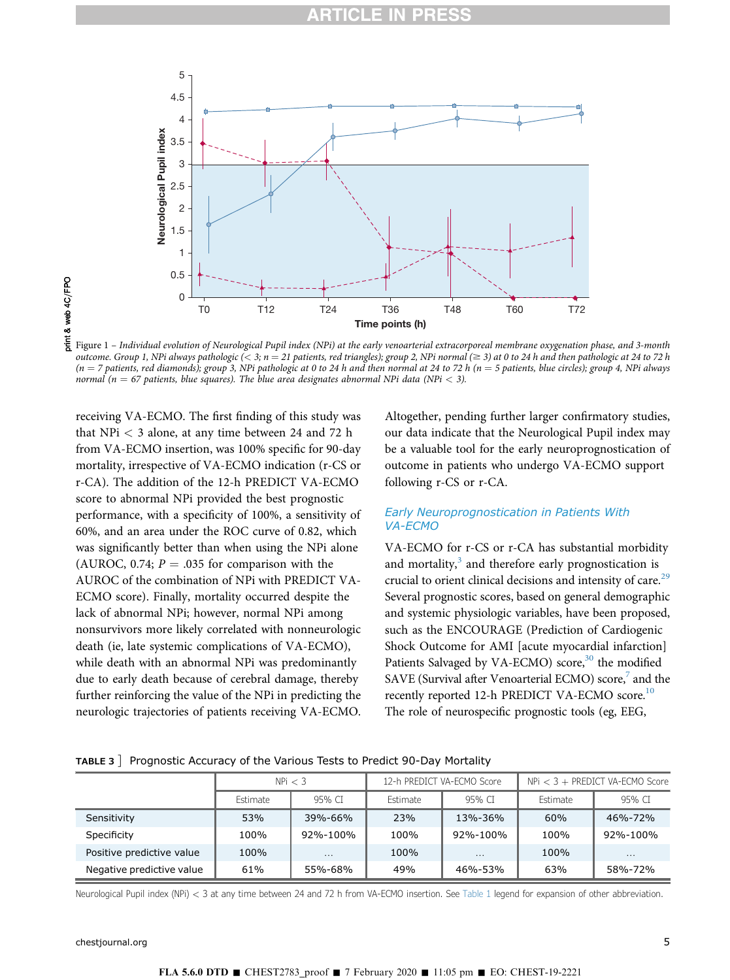<span id="page-4-0"></span>

Figure 1 – Individual evolution of Neurological Pupil index (NPi) at the early venoarterial extracorporeal membrane oxygenation phase, and 3-month outcome. Group 1, NPi always pathologic  $(< 3; n = 21$  patients, red triangles); group 2, NPi normal  $(\geq 3)$  at 0 to 24 h and then pathologic at 24 to 72 h  $(n = 7$  patients, red diamonds); group 3, NPi pathologic at 0 to 24 h and then normal at 24 to 72 h  $(n = 5$  patients, blue circles); group 4, NPi always normal ( $n = 67$  patients, blue squares). The blue area designates abnormal NPi data (NPi < 3).

receiving VA-ECMO. The first finding of this study was that NPi < 3 alone, at any time between 24 and 72 h from VA-ECMO insertion, was 100% specific for 90-day mortality, irrespective of VA-ECMO indication (r-CS or r-CA). The addition of the 12-h PREDICT VA-ECMO score to abnormal NPi provided the best prognostic performance, with a specificity of 100%, a sensitivity of 60%, and an area under the ROC curve of 0.82, which was significantly better than when using the NPi alone (AUROC, 0.74;  $P = .035$  for comparison with the AUROC of the combination of NPi with PREDICT VA-ECMO score). Finally, mortality occurred despite the lack of abnormal NPi; however, normal NPi among nonsurvivors more likely correlated with nonneurologic death (ie, late systemic complications of VA-ECMO), while death with an abnormal NPi was predominantly due to early death because of cerebral damage, thereby further reinforcing the value of the NPi in predicting the neurologic trajectories of patients receiving VA-ECMO.

Altogether, pending further larger confirmatory studies, our data indicate that the Neurological Pupil index may be a valuable tool for the early neuroprognostication of outcome in patients who undergo VA-ECMO support following r-CS or r-CA.

## Early Neuroprognostication in Patients With VA-ECMO

VA-ECMO for r-CS or r-CA has substantial morbidity and mortality, $3$  and therefore early prognostication is crucial to orient clinical decisions and intensity of care.<sup>[29](#page-7-0)</sup> Several prognostic scores, based on general demographic and systemic physiologic variables, have been proposed, such as the ENCOURAGE (Prediction of Cardiogenic Shock Outcome for AMI [acute myocardial infarction] Patients Salvaged by VA-ECMO) score,<sup>[30](#page-7-0)</sup> the modified SAVE (Survival after Venoarterial ECMO) score,<sup>[7](#page-6-0)</sup> and the recently reported 12-h PREDICT VA-ECMO score.<sup>10</sup> The role of neurospecific prognostic tools (eg, EEG,

|                           | NPi < 3  |          | 12-h PREDICT VA-ECMO Score |          | $NPi < 3 + PREDICT$ VA-ECMO Score |          |
|---------------------------|----------|----------|----------------------------|----------|-----------------------------------|----------|
|                           | Estimate | 95% CI   | Estimate                   | 95% CI   | Estimate                          | 95% CT   |
| Sensitivity               | 53%      | 39%-66%  | 23%                        | 13%-36%  | 60%                               | 46%-72%  |
| Specificity               | 100%     | 92%-100% | 100%                       | 92%-100% | 100%                              | 92%-100% |
| Positive predictive value | 100%     | $\cdots$ | 100%                       | $\cdots$ | 100%                              | $\cdots$ |
| Negative predictive value | 61%      | 55%-68%  | 49%                        | 46%-53%  | 63%                               | 58%-72%  |

#### TABLE 3 ] Prognostic Accuracy of the Various Tests to Predict 90-Day Mortality

Neurological Pupil index (NPi) < 3 at any time between 24 and 72 h from VA-ECMO insertion. See [Table 1](#page-3-0) legend for expansion of other abbreviation.

[chestjournal.org](http://chestjournal.org) 5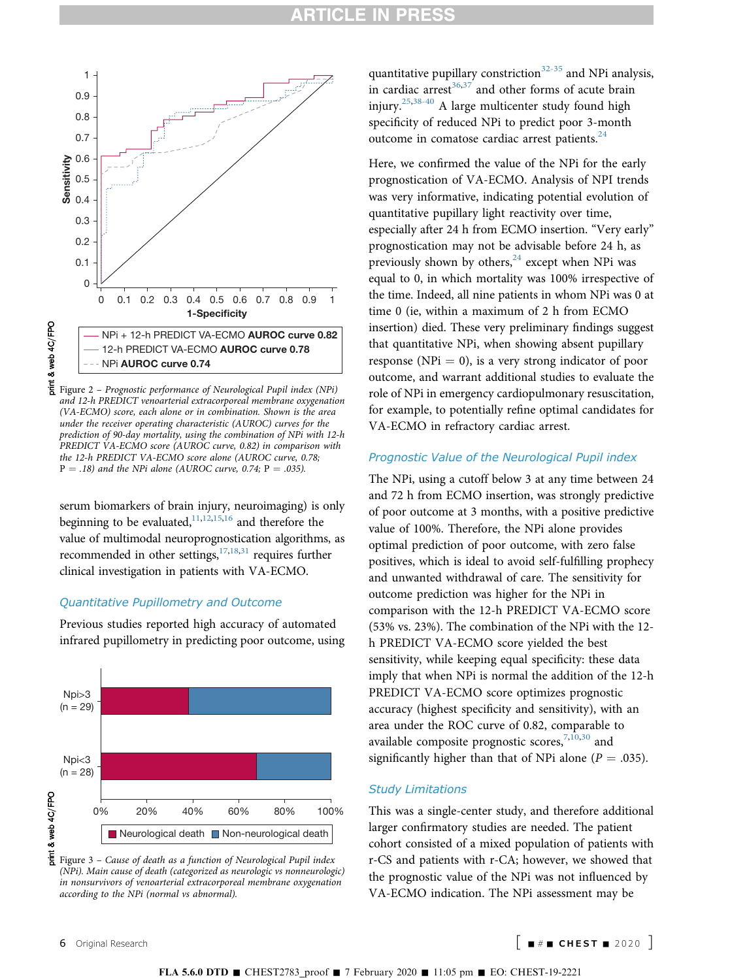<span id="page-5-0"></span>

and 12-h PREDICT venoarterial extracorporeal membrane oxygenation (VA-ECMO) score, each alone or in combination. Shown is the area under the receiver operating characteristic (AUROC) curves for the prediction of 90-day mortality, using the combination of NPi with 12-h PREDICT VA-ECMO score (AUROC curve, 0.82) in comparison with the 12-h PREDICT VA-ECMO score alone (AUROC curve, 0.78;  $P = .18$ ) and the NPi alone (AUROC curve, 0.74; P = .035).

serum biomarkers of brain injury, neuroimaging) is only beginning to be evaluated, $11,12,15,16$  $11,12,15,16$  $11,12,15,16$  $11,12,15,16$  and therefore the value of multimodal neuroprognostication algorithms, as recommended in other settings, $17,18,31$  $17,18,31$  $17,18,31$  requires further clinical investigation in patients with VA-ECMO.

## Quantitative Pupillometry and Outcome

Previous studies reported high accuracy of automated infrared pupillometry in predicting poor outcome, using





quantitative pupillary constriction $32-35$  and NPi analysis, in cardiac arrest $36,37$  and other forms of acute brain injury.[25](#page-7-0),[38-40](#page-7-0) A large multicenter study found high specificity of reduced NPi to predict poor 3-month outcome in comatose cardiac arrest patients.<sup>24</sup>

Here, we confirmed the value of the NPi for the early prognostication of VA-ECMO. Analysis of NPI trends was very informative, indicating potential evolution of quantitative pupillary light reactivity over time, especially after 24 h from ECMO insertion. "Very early" prognostication may not be advisable before 24 h, as previously shown by others, $24$  except when NPi was equal to 0, in which mortality was 100% irrespective of the time. Indeed, all nine patients in whom NPi was 0 at time 0 (ie, within a maximum of 2 h from ECMO insertion) died. These very preliminary findings suggest that quantitative NPi, when showing absent pupillary response (NPi  $= 0$ ), is a very strong indicator of poor outcome, and warrant additional studies to evaluate the role of NPi in emergency cardiopulmonary resuscitation, for example, to potentially refine optimal candidates for VA-ECMO in refractory cardiac arrest.

## Prognostic Value of the Neurological Pupil index

The NPi, using a cutoff below 3 at any time between 24 and 72 h from ECMO insertion, was strongly predictive of poor outcome at 3 months, with a positive predictive value of 100%. Therefore, the NPi alone provides optimal prediction of poor outcome, with zero false positives, which is ideal to avoid self-fulfilling prophecy and unwanted withdrawal of care. The sensitivity for outcome prediction was higher for the NPi in comparison with the 12-h PREDICT VA-ECMO score (53% vs. 23%). The combination of the NPi with the 12 h PREDICT VA-ECMO score yielded the best sensitivity, while keeping equal specificity: these data imply that when NPi is normal the addition of the 12-h PREDICT VA-ECMO score optimizes prognostic accuracy (highest specificity and sensitivity), with an area under the ROC curve of 0.82, comparable to available composite prognostic scores,  $7,10,30$  $7,10,30$  $7,10,30$  and significantly higher than that of NPi alone ( $P = .035$ ).

#### Study Limitations

This was a single-center study, and therefore additional larger confirmatory studies are needed. The patient cohort consisted of a mixed population of patients with r-CS and patients with r-CA; however, we showed that the prognostic value of the NPi was not influenced by VA-ECMO indication. The NPi assessment may be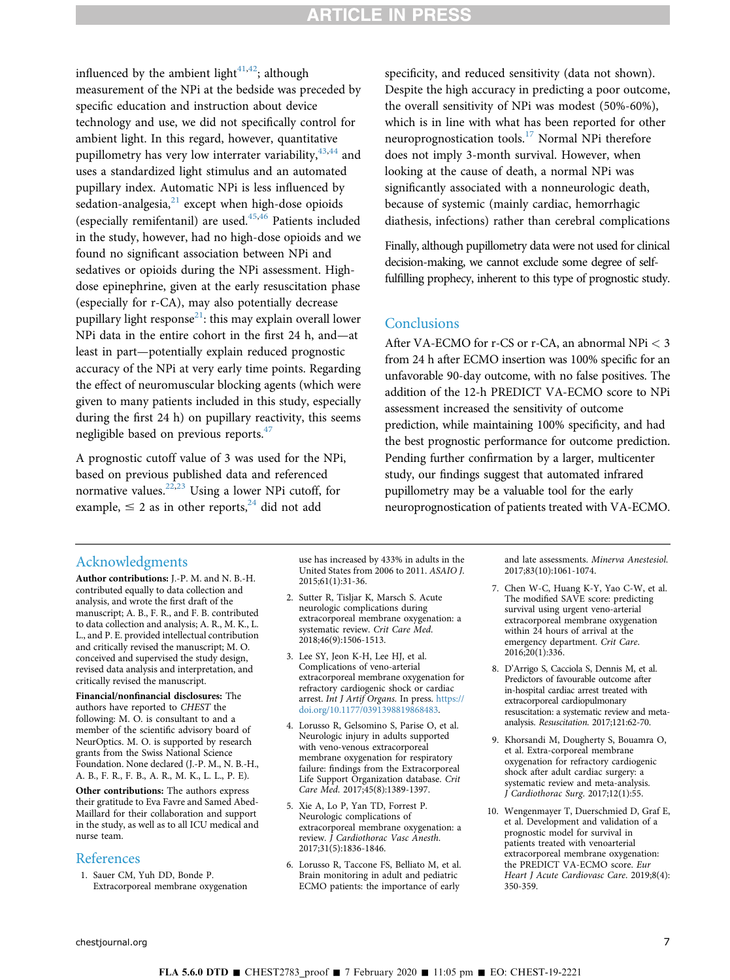## **RTICLE IN PRES**

<span id="page-6-0"></span>influenced by the ambient light $4^{1,42}$  $4^{1,42}$  $4^{1,42}$ ; although measurement of the NPi at the bedside was preceded by specific education and instruction about device technology and use, we did not specifically control for ambient light. In this regard, however, quantitative pupillometry has very low interrater variability,  $43,44$  $43,44$  $43,44$  and uses a standardized light stimulus and an automated pupillary index. Automatic NPi is less influenced by sedation-analgesia, $21$  except when high-dose opioids (especially remifentanil) are used. $45,46$  Patients included in the study, however, had no high-dose opioids and we found no significant association between NPi and sedatives or opioids during the NPi assessment. Highdose epinephrine, given at the early resuscitation phase (especially for r-CA), may also potentially decrease pupillary light response<sup>21</sup>: this may explain overall lower NPi data in the entire cohort in the first 24 h, and—at least in part—potentially explain reduced prognostic accuracy of the NPi at very early time points. Regarding the effect of neuromuscular blocking agents (which were given to many patients included in this study, especially during the first 24 h) on pupillary reactivity, this seems negligible based on previous reports.<sup>47</sup>

A prognostic cutoff value of 3 was used for the NPi, based on previous published data and referenced normative values.[22,23](#page-7-0) Using a lower NPi cutoff, for example,  $\leq 2$  as in other reports,<sup>24</sup> did not add

specificity, and reduced sensitivity (data not shown). Despite the high accuracy in predicting a poor outcome, the overall sensitivity of NPi was modest (50%-60%), which is in line with what has been reported for other neuroprognostication tools.<sup>[17](#page-7-0)</sup> Normal NPi therefore does not imply 3-month survival. However, when looking at the cause of death, a normal NPi was significantly associated with a nonneurologic death, because of systemic (mainly cardiac, hemorrhagic diathesis, infections) rather than cerebral complications

Finally, although pupillometry data were not used for clinical decision-making, we cannot exclude some degree of selffulfilling prophecy, inherent to this type of prognostic study.

## **Conclusions**

After VA-ECMO for r-CS or r-CA, an abnormal NPi < 3 from 24 h after ECMO insertion was 100% specific for an unfavorable 90-day outcome, with no false positives. The addition of the 12-h PREDICT VA-ECMO score to NPi assessment increased the sensitivity of outcome prediction, while maintaining 100% specificity, and had the best prognostic performance for outcome prediction. Pending further confirmation by a larger, multicenter study, our findings suggest that automated infrared pupillometry may be a valuable tool for the early neuroprognostication of patients treated with VA-ECMO.

## Acknowledgments

Author contributions: J.-P. M. and N. B.-H. contributed equally to data collection and analysis, and wrote the first draft of the manuscript; A. B., F. R., and F. B. contributed to data collection and analysis; A. R., M. K., L. L., and P. E. provided intellectual contribution and critically revised the manuscript; M. O. conceived and supervised the study design, revised data analysis and interpretation, and critically revised the manuscript.

Financial/nonfinancial disclosures: The authors have reported to CHEST the following: M. O. is consultant to and a member of the scientific advisory board of NeurOptics. M. O. is supported by research grants from the Swiss National Science Foundation. None declared (J.-P. M., N. B.-H., A. B., F. R., F. B., A. R., M. K., L. L., P. E).

Other contributions: The authors express their gratitude to Eva Favre and Samed Abed-Maillard for their collaboration and support in the study, as well as to all ICU medical and nurse team.

### References

1. Sauer CM, Yuh DD, Bonde P. Extracorporeal membrane oxygenation use has increased by 433% in adults in the United States from 2006 to 2011. ASAIO J. 2015;61(1):31-36.

- 2. Sutter R, Tisljar K, Marsch S. Acute neurologic complications during extracorporeal membrane oxygenation: a systematic review. Crit Care Med. 2018;46(9):1506-1513.
- 3. Lee SY, Jeon K-H, Lee HJ, et al. Complications of veno-arterial extracorporeal membrane oxygenation for refractory cardiogenic shock or cardiac arrest. Int J Artif Organs. In press. [https://](https://doi.org/10.1177/0391398819868483) [doi.org/10.1177/0391398819868483.](https://doi.org/10.1177/0391398819868483)
- 4. Lorusso R, Gelsomino S, Parise O, et al. Neurologic injury in adults supported with veno-venous extracorporeal membrane oxygenation for respiratory failure: findings from the Extracorporeal Life Support Organization database. Crit Care Med. 2017;45(8):1389-1397.
- 5. Xie A, Lo P, Yan TD, Forrest P. Neurologic complications of extracorporeal membrane oxygenation: a review. J Cardiothorac Vasc Anesth. 2017;31(5):1836-1846.
- 6. Lorusso R, Taccone FS, Belliato M, et al. Brain monitoring in adult and pediatric ECMO patients: the importance of early

and late assessments. Minerva Anestesiol. 2017;83(10):1061-1074.

- 7. Chen W-C, Huang K-Y, Yao C-W, et al. The modified SAVE score: predicting survival using urgent veno-arterial extracorporeal membrane oxygenation within 24 hours of arrival at the emergency department. Crit Care. 2016;20(1):336.
- 8. D'Arrigo S, Cacciola S, Dennis M, et al. Predictors of favourable outcome after in-hospital cardiac arrest treated with extracorporeal cardiopulmonary resuscitation: a systematic review and metaanalysis. Resuscitation. 2017;121:62-70.
- 9. Khorsandi M, Dougherty S, Bouamra O, et al. Extra-corporeal membrane oxygenation for refractory cardiogenic shock after adult cardiac surgery: a systematic review and meta-analysis. J Cardiothorac Surg. 2017;12(1):55.
- 10. Wengenmayer T, Duerschmied D, Graf E, et al. Development and validation of a prognostic model for survival in patients treated with venoarterial extracorporeal membrane oxygenation: the PREDICT VA-ECMO score. Eur Heart J Acute Cardiovasc Care. 2019;8(4): 350-359.